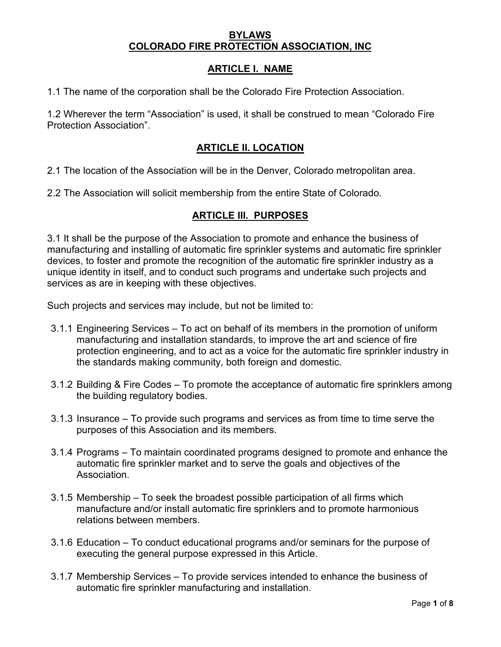### **BYLAWS COLORADO FIRE PROTECTION ASSOCIATION, INC**

## **ARTICLE I. NAME**

1.1 The name of the corporation shall be the Colorado Fire Protection Association.

1.2 Wherever the term "Association" is used, it shall be construed to mean "Colorado Fire Protection Association".

## **ARTICLE II. LOCATION**

2.1 The location of the Association will be in the Denver, Colorado metropolitan area.

2.2 The Association will solicit membership from the entire State of Colorado.

# **ARTICLE III. PURPOSES**

3.1 It shall be the purpose of the Association to promote and enhance the business of manufacturing and installing of automatic fire sprinkler systems and automatic fire sprinkler devices, to foster and promote the recognition of the automatic fire sprinkler industry as a unique identity in itself, and to conduct such programs and undertake such projects and services as are in keeping with these objectives.

Such projects and services may include, but not be limited to:

- 3.1.1 Engineering Services To act on behalf of its members in the promotion of uniform manufacturing and installation standards, to improve the art and science of fire protection engineering, and to act as a voice for the automatic fire sprinkler industry in the standards making community, both foreign and domestic.
- 3.1.2 Building & Fire Codes To promote the acceptance of automatic fire sprinklers among the building regulatory bodies.
- 3.1.3 Insurance To provide such programs and services as from time to time serve the purposes of this Association and its members.
- 3.1.4 Programs To maintain coordinated programs designed to promote and enhance the automatic fire sprinkler market and to serve the goals and objectives of the Association.
- 3.1.5 Membership To seek the broadest possible participation of all firms which manufacture and/or install automatic fire sprinklers and to promote harmonious relations between members.
- 3.1.6 Education To conduct educational programs and/or seminars for the purpose of executing the general purpose expressed in this Article.
- 3.1.7 Membership Services To provide services intended to enhance the business of automatic fire sprinkler manufacturing and installation.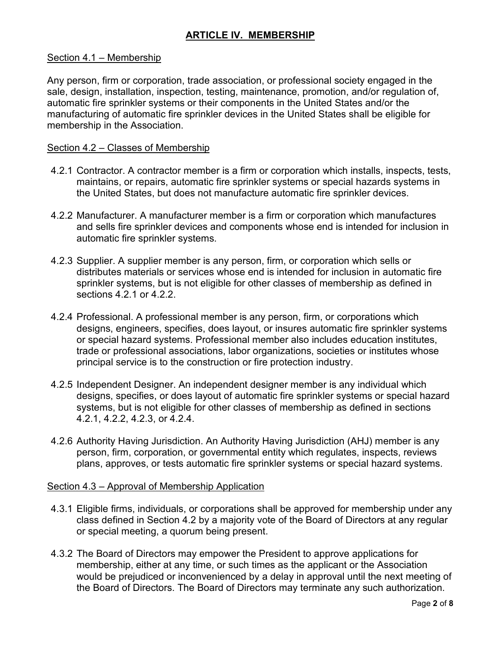# **ARTICLE IV. MEMBERSHIP**

#### Section 4.1 – Membership

Any person, firm or corporation, trade association, or professional society engaged in the sale, design, installation, inspection, testing, maintenance, promotion, and/or regulation of, automatic fire sprinkler systems or their components in the United States and/or the manufacturing of automatic fire sprinkler devices in the United States shall be eligible for membership in the Association.

#### Section 4.2 – Classes of Membership

- 4.2.1 Contractor. A contractor member is a firm or corporation which installs, inspects, tests, maintains, or repairs, automatic fire sprinkler systems or special hazards systems in the United States, but does not manufacture automatic fire sprinkler devices.
- 4.2.2 Manufacturer. A manufacturer member is a firm or corporation which manufactures and sells fire sprinkler devices and components whose end is intended for inclusion in automatic fire sprinkler systems.
- 4.2.3 Supplier. A supplier member is any person, firm, or corporation which sells or distributes materials or services whose end is intended for inclusion in automatic fire sprinkler systems, but is not eligible for other classes of membership as defined in sections 4.2.1 or 4.2.2.
- 4.2.4 Professional. A professional member is any person, firm, or corporations which designs, engineers, specifies, does layout, or insures automatic fire sprinkler systems or special hazard systems. Professional member also includes education institutes, trade or professional associations, labor organizations, societies or institutes whose principal service is to the construction or fire protection industry.
- 4.2.5 Independent Designer. An independent designer member is any individual which designs, specifies, or does layout of automatic fire sprinkler systems or special hazard systems, but is not eligible for other classes of membership as defined in sections 4.2.1, 4.2.2, 4.2.3, or 4.2.4.
- 4.2.6 Authority Having Jurisdiction. An Authority Having Jurisdiction (AHJ) member is any person, firm, corporation, or governmental entity which regulates, inspects, reviews plans, approves, or tests automatic fire sprinkler systems or special hazard systems.

#### Section 4.3 – Approval of Membership Application

- 4.3.1 Eligible firms, individuals, or corporations shall be approved for membership under any class defined in Section 4.2 by a majority vote of the Board of Directors at any regular or special meeting, a quorum being present.
- 4.3.2 The Board of Directors may empower the President to approve applications for membership, either at any time, or such times as the applicant or the Association would be prejudiced or inconvenienced by a delay in approval until the next meeting of the Board of Directors. The Board of Directors may terminate any such authorization.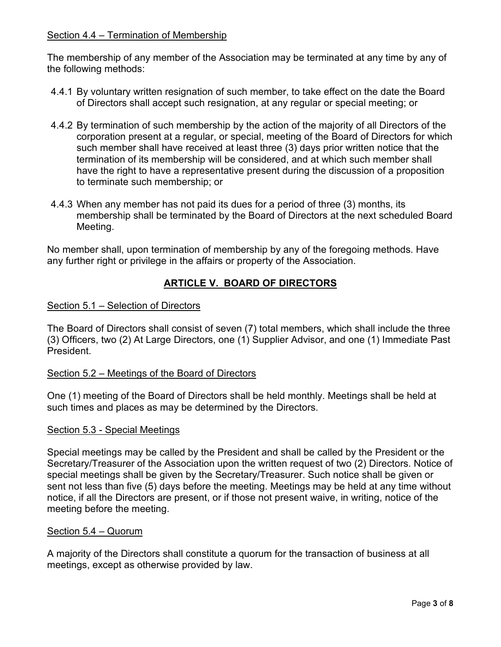## Section 4.4 – Termination of Membership

The membership of any member of the Association may be terminated at any time by any of the following methods:

- 4.4.1 By voluntary written resignation of such member, to take effect on the date the Board of Directors shall accept such resignation, at any regular or special meeting; or
- 4.4.2 By termination of such membership by the action of the majority of all Directors of the corporation present at a regular, or special, meeting of the Board of Directors for which such member shall have received at least three (3) days prior written notice that the termination of its membership will be considered, and at which such member shall have the right to have a representative present during the discussion of a proposition to terminate such membership; or
- 4.4.3 When any member has not paid its dues for a period of three (3) months, its membership shall be terminated by the Board of Directors at the next scheduled Board Meeting.

No member shall, upon termination of membership by any of the foregoing methods. Have any further right or privilege in the affairs or property of the Association.

# **ARTICLE V. BOARD OF DIRECTORS**

### Section 5.1 – Selection of Directors

The Board of Directors shall consist of seven (7) total members, which shall include the three (3) Officers, two (2) At Large Directors, one (1) Supplier Advisor, and one (1) Immediate Past President.

## Section 5.2 – Meetings of the Board of Directors

One (1) meeting of the Board of Directors shall be held monthly. Meetings shall be held at such times and places as may be determined by the Directors.

### Section 5.3 - Special Meetings

Special meetings may be called by the President and shall be called by the President or the Secretary/Treasurer of the Association upon the written request of two (2) Directors. Notice of special meetings shall be given by the Secretary/Treasurer. Such notice shall be given or sent not less than five (5) days before the meeting. Meetings may be held at any time without notice, if all the Directors are present, or if those not present waive, in writing, notice of the meeting before the meeting.

### Section 5.4 – Quorum

A majority of the Directors shall constitute a quorum for the transaction of business at all meetings, except as otherwise provided by law.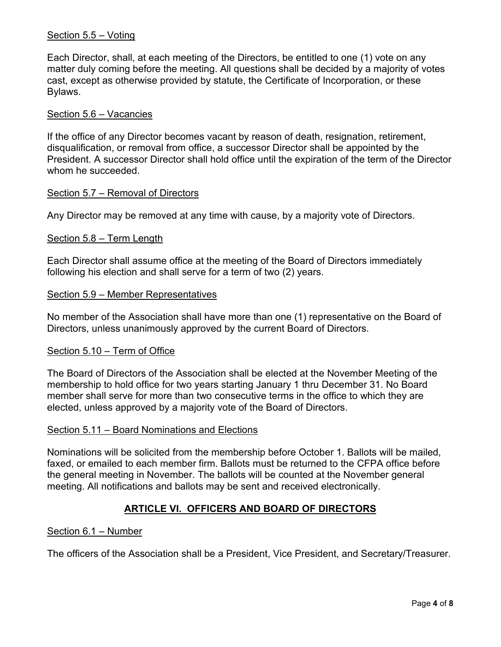### Section 5.5 – Voting

Each Director, shall, at each meeting of the Directors, be entitled to one (1) vote on any matter duly coming before the meeting. All questions shall be decided by a majority of votes cast, except as otherwise provided by statute, the Certificate of Incorporation, or these Bylaws.

### Section 5.6 – Vacancies

If the office of any Director becomes vacant by reason of death, resignation, retirement, disqualification, or removal from office, a successor Director shall be appointed by the President. A successor Director shall hold office until the expiration of the term of the Director whom he succeeded.

#### Section 5.7 – Removal of Directors

Any Director may be removed at any time with cause, by a majority vote of Directors.

### Section 5.8 – Term Length

Each Director shall assume office at the meeting of the Board of Directors immediately following his election and shall serve for a term of two (2) years.

#### Section 5.9 – Member Representatives

No member of the Association shall have more than one (1) representative on the Board of Directors, unless unanimously approved by the current Board of Directors.

#### Section 5.10 – Term of Office

The Board of Directors of the Association shall be elected at the November Meeting of the membership to hold office for two years starting January 1 thru December 31. No Board member shall serve for more than two consecutive terms in the office to which they are elected, unless approved by a majority vote of the Board of Directors.

#### Section 5.11 – Board Nominations and Elections

Nominations will be solicited from the membership before October 1. Ballots will be mailed, faxed, or emailed to each member firm. Ballots must be returned to the CFPA office before the general meeting in November. The ballots will be counted at the November general meeting. All notifications and ballots may be sent and received electronically.

## **ARTICLE VI. OFFICERS AND BOARD OF DIRECTORS**

#### Section 6.1 – Number

The officers of the Association shall be a President, Vice President, and Secretary/Treasurer.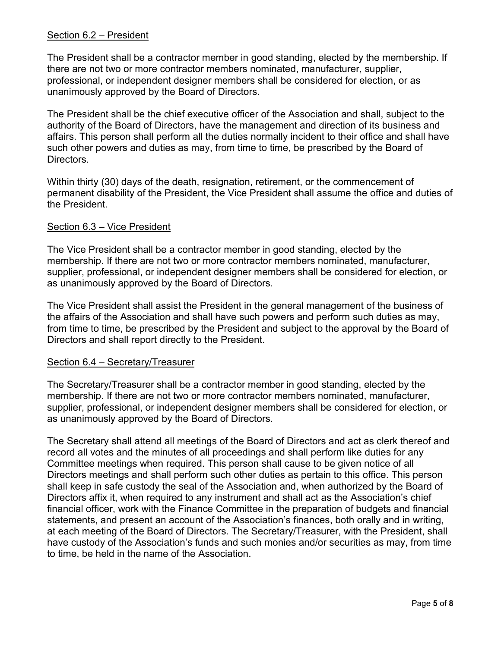### Section 6.2 – President

The President shall be a contractor member in good standing, elected by the membership. If there are not two or more contractor members nominated, manufacturer, supplier, professional, or independent designer members shall be considered for election, or as unanimously approved by the Board of Directors.

The President shall be the chief executive officer of the Association and shall, subject to the authority of the Board of Directors, have the management and direction of its business and affairs. This person shall perform all the duties normally incident to their office and shall have such other powers and duties as may, from time to time, be prescribed by the Board of **Directors** 

Within thirty (30) days of the death, resignation, retirement, or the commencement of permanent disability of the President, the Vice President shall assume the office and duties of the President.

### Section 6.3 – Vice President

The Vice President shall be a contractor member in good standing, elected by the membership. If there are not two or more contractor members nominated, manufacturer, supplier, professional, or independent designer members shall be considered for election, or as unanimously approved by the Board of Directors.

The Vice President shall assist the President in the general management of the business of the affairs of the Association and shall have such powers and perform such duties as may, from time to time, be prescribed by the President and subject to the approval by the Board of Directors and shall report directly to the President.

### Section 6.4 – Secretary/Treasurer

The Secretary/Treasurer shall be a contractor member in good standing, elected by the membership. If there are not two or more contractor members nominated, manufacturer, supplier, professional, or independent designer members shall be considered for election, or as unanimously approved by the Board of Directors.

The Secretary shall attend all meetings of the Board of Directors and act as clerk thereof and record all votes and the minutes of all proceedings and shall perform like duties for any Committee meetings when required. This person shall cause to be given notice of all Directors meetings and shall perform such other duties as pertain to this office. This person shall keep in safe custody the seal of the Association and, when authorized by the Board of Directors affix it, when required to any instrument and shall act as the Association's chief financial officer, work with the Finance Committee in the preparation of budgets and financial statements, and present an account of the Association's finances, both orally and in writing, at each meeting of the Board of Directors. The Secretary/Treasurer, with the President, shall have custody of the Association's funds and such monies and/or securities as may, from time to time, be held in the name of the Association.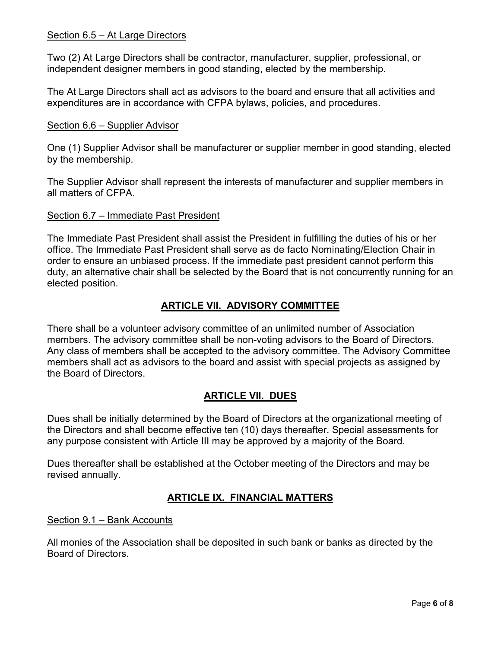### Section 6.5 – At Large Directors

Two (2) At Large Directors shall be contractor, manufacturer, supplier, professional, or independent designer members in good standing, elected by the membership.

The At Large Directors shall act as advisors to the board and ensure that all activities and expenditures are in accordance with CFPA bylaws, policies, and procedures.

### Section 6.6 – Supplier Advisor

One (1) Supplier Advisor shall be manufacturer or supplier member in good standing, elected by the membership.

The Supplier Advisor shall represent the interests of manufacturer and supplier members in all matters of CFPA.

### Section 6.7 – Immediate Past President

The Immediate Past President shall assist the President in fulfilling the duties of his or her office. The Immediate Past President shall serve as de facto Nominating/Election Chair in order to ensure an unbiased process. If the immediate past president cannot perform this duty, an alternative chair shall be selected by the Board that is not concurrently running for an elected position.

# **ARTICLE VII. ADVISORY COMMITTEE**

There shall be a volunteer advisory committee of an unlimited number of Association members. The advisory committee shall be non-voting advisors to the Board of Directors. Any class of members shall be accepted to the advisory committee. The Advisory Committee members shall act as advisors to the board and assist with special projects as assigned by the Board of Directors.

# **ARTICLE VII. DUES**

Dues shall be initially determined by the Board of Directors at the organizational meeting of the Directors and shall become effective ten (10) days thereafter. Special assessments for any purpose consistent with Article III may be approved by a majority of the Board.

Dues thereafter shall be established at the October meeting of the Directors and may be revised annually.

## **ARTICLE IX. FINANCIAL MATTERS**

### Section 9.1 – Bank Accounts

All monies of the Association shall be deposited in such bank or banks as directed by the Board of Directors.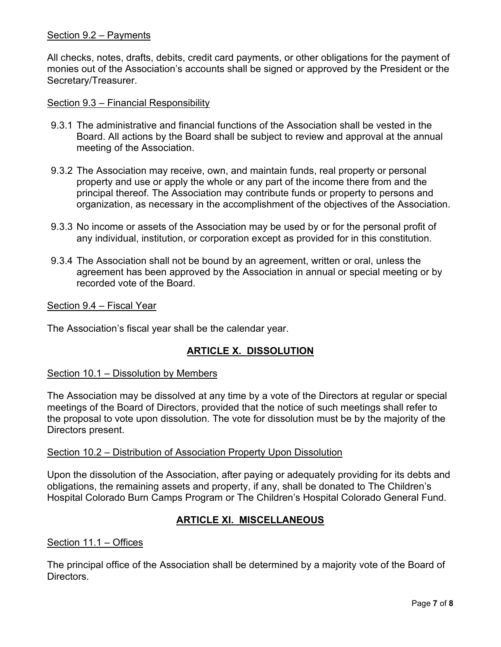### Section 9.2 – Payments

All checks, notes, drafts, debits, credit card payments, or other obligations for the payment of monies out of the Association's accounts shall be signed or approved by the President or the Secretary/Treasurer.

### Section 9.3 – Financial Responsibility

- 9.3.1 The administrative and financial functions of the Association shall be vested in the Board. All actions by the Board shall be subject to review and approval at the annual meeting of the Association.
- 9.3.2 The Association may receive, own, and maintain funds, real property or personal property and use or apply the whole or any part of the income there from and the principal thereof. The Association may contribute funds or property to persons and organization, as necessary in the accomplishment of the objectives of the Association.
- 9.3.3 No income or assets of the Association may be used by or for the personal profit of any individual, institution, or corporation except as provided for in this constitution.
- 9.3.4 The Association shall not be bound by an agreement, written or oral, unless the agreement has been approved by the Association in annual or special meeting or by recorded vote of the Board.

Section 9.4 – Fiscal Year

The Association's fiscal year shall be the calendar year.

## **ARTICLE X. DISSOLUTION**

### Section 10.1 – Dissolution by Members

The Association may be dissolved at any time by a vote of the Directors at regular or special meetings of the Board of Directors, provided that the notice of such meetings shall refer to the proposal to vote upon dissolution. The vote for dissolution must be by the majority of the Directors present.

#### Section 10.2 – Distribution of Association Property Upon Dissolution

Upon the dissolution of the Association, after paying or adequately providing for its debts and obligations, the remaining assets and property, if any, shall be donated to The Children's Hospital Colorado Burn Camps Program or The Children's Hospital Colorado General Fund.

## **ARTICLE XI. MISCELLANEOUS**

### Section 11.1 – Offices

The principal office of the Association shall be determined by a majority vote of the Board of Directors.